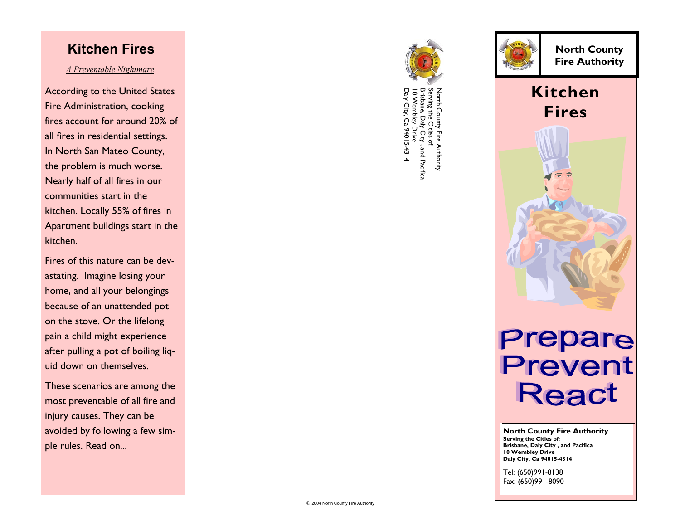#### **Kitchen Fires**

#### *A Preventable Nightmare*

According to the United States Fire Administration, cooking fires account for around 20% of all fires in residential settings. In North San Mateo County, the problem is much worse. Nearly half of all fires in our communities start in the kitchen. Locally 55% of fires in Apartment buildings start in the kitchen.

Fires of this nature can be devastating. Imagine losing your home, and all your belongings because of an unattended pot on the stove. Or the lifelong pain a child might experience after pulling a pot of boiling liquid down on themselves.

These scenarios are among the most preventable of all fire and injury causes. They can be avoided by following a few simple rules. Read on...





**North County Fire Authority** 

### **Kitchen Fires**



## **Prepare**<br>Prevent **React**

**North County Fire Authority Serving the Cities of: Brisbane, Daly City , and Pacifica 10 Wembley Drive Daly City, Ca 94015-4314** 

Tel: (650)991-8138 Fax: (650)991-8090